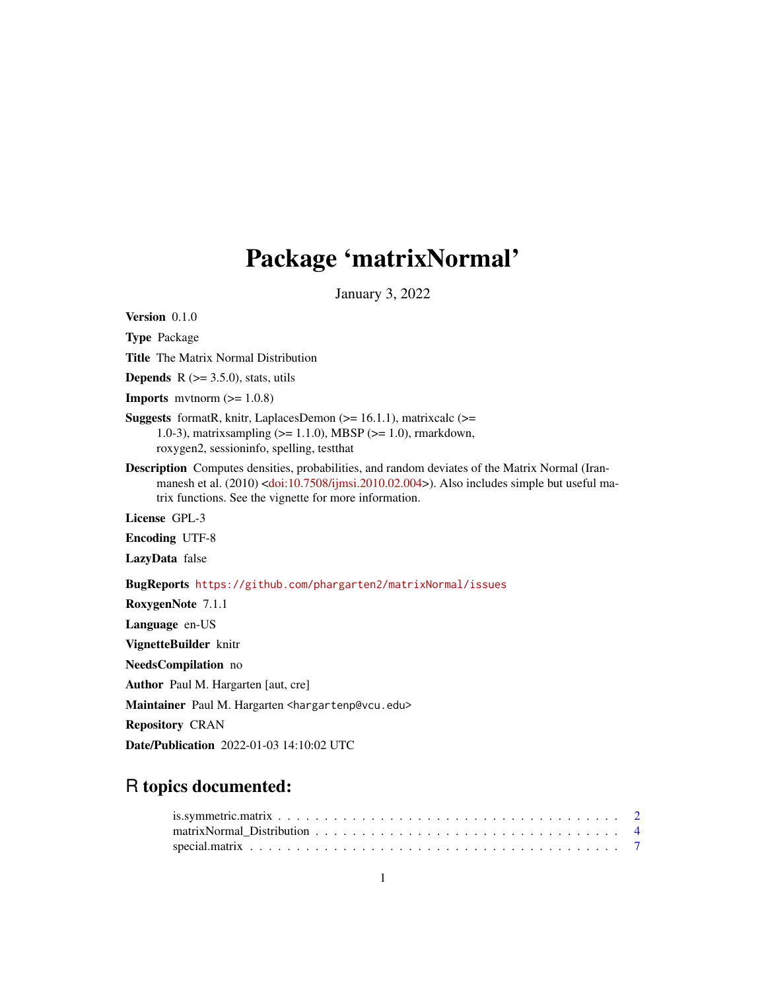## Package 'matrixNormal'

January 3, 2022

<span id="page-0-0"></span>Version 0.1.0 Type Package Title The Matrix Normal Distribution **Depends**  $R$  ( $>=$  3.5.0), stats, utils **Imports** mythorm  $(>= 1.0.8)$ **Suggests** formatR, knitr, LaplacesDemon  $(>= 16.1.1)$ , matrixcalc  $(>=$ 1.0-3), matrixsampling (>= 1.1.0), MBSP (>= 1.0), rmarkdown, roxygen2, sessioninfo, spelling, testthat Description Computes densities, probabilities, and random deviates of the Matrix Normal (Iran-manesh et al. (2010) [<doi:10.7508/ijmsi.2010.02.004>](https://doi.org/10.7508/ijmsi.2010.02.004)). Also includes simple but useful matrix functions. See the vignette for more information. License GPL-3 Encoding UTF-8 LazyData false BugReports <https://github.com/phargarten2/matrixNormal/issues> RoxygenNote 7.1.1 Language en-US VignetteBuilder knitr NeedsCompilation no Author Paul M. Hargarten [aut, cre] Maintainer Paul M. Hargarten <hargartenp@vcu.edu> Repository CRAN

Date/Publication 2022-01-03 14:10:02 UTC

### R topics documented: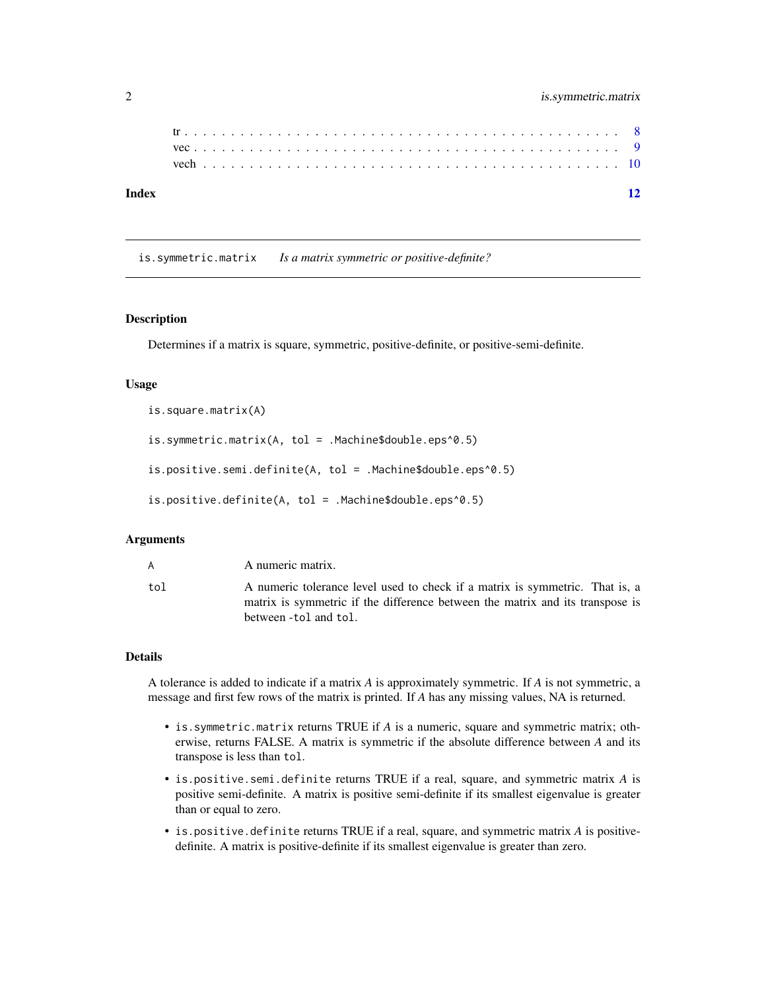<span id="page-1-0"></span>

| Index |  |  |  |  |  |  |  |  |  |  |  |  |  |  |  |  |  |  |  |  |  |  |
|-------|--|--|--|--|--|--|--|--|--|--|--|--|--|--|--|--|--|--|--|--|--|--|
|       |  |  |  |  |  |  |  |  |  |  |  |  |  |  |  |  |  |  |  |  |  |  |
|       |  |  |  |  |  |  |  |  |  |  |  |  |  |  |  |  |  |  |  |  |  |  |
|       |  |  |  |  |  |  |  |  |  |  |  |  |  |  |  |  |  |  |  |  |  |  |

is.symmetric.matrix *Is a matrix symmetric or positive-definite?*

#### Description

Determines if a matrix is square, symmetric, positive-definite, or positive-semi-definite.

#### Usage

```
is.square.matrix(A)
is.symmetric.matrix(A, tol = .Machine$double.eps^0.5)
is.positive.semi.definite(A, tol = .Machine$double.eps^0.5)
is.positive.definite(A, tol = .Machine$double.eps^0.5)
```
#### Arguments

| A   | A numeric matrix.                                                                                                                                             |
|-----|---------------------------------------------------------------------------------------------------------------------------------------------------------------|
| tol | A numeric tolerance level used to check if a matrix is symmetric. That is, a<br>matrix is symmetric if the difference between the matrix and its transpose is |
|     | between -tol and tol.                                                                                                                                         |

#### Details

A tolerance is added to indicate if a matrix *A* is approximately symmetric. If *A* is not symmetric, a message and first few rows of the matrix is printed. If *A* has any missing values, NA is returned.

- is.symmetric.matrix returns TRUE if *A* is a numeric, square and symmetric matrix; otherwise, returns FALSE. A matrix is symmetric if the absolute difference between *A* and its transpose is less than tol.
- is.positive.semi.definite returns TRUE if a real, square, and symmetric matrix *A* is positive semi-definite. A matrix is positive semi-definite if its smallest eigenvalue is greater than or equal to zero.
- is.positive.definite returns TRUE if a real, square, and symmetric matrix *A* is positivedefinite. A matrix is positive-definite if its smallest eigenvalue is greater than zero.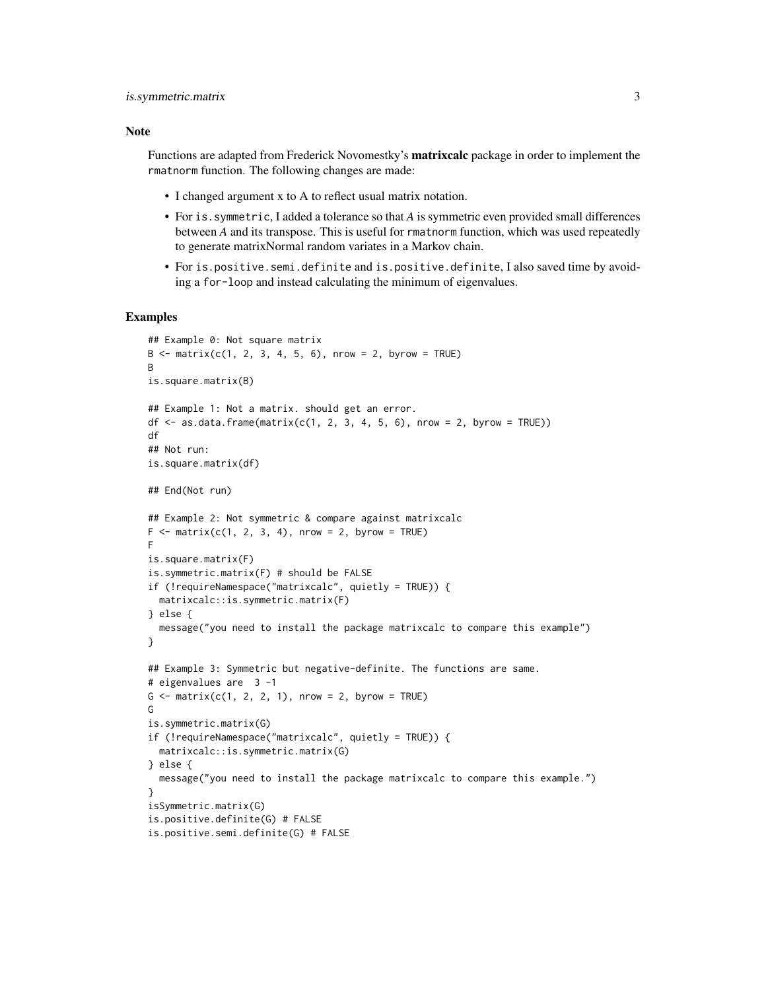#### Note

Functions are adapted from Frederick Novomestky's **matrixcalc** package in order to implement the rmatnorm function. The following changes are made:

- I changed argument x to A to reflect usual matrix notation.
- For is.symmetric, I added a tolerance so that *A* is symmetric even provided small differences between *A* and its transpose. This is useful for rmatnorm function, which was used repeatedly to generate matrixNormal random variates in a Markov chain.
- For is.positive.semi.definite and is.positive.definite, I also saved time by avoiding a for-loop and instead calculating the minimum of eigenvalues.

```
## Example 0: Not square matrix
B \le - matrix(c(1, 2, 3, 4, 5, 6), nrow = 2, byrow = TRUE)
B
is.square.matrix(B)
## Example 1: Not a matrix. should get an error.
df \leq as.data.frame(matrix(c(1, 2, 3, 4, 5, 6), nrow = 2, byrow = TRUE))
df
## Not run:
is.square.matrix(df)
## End(Not run)
## Example 2: Not symmetric & compare against matrixcalc
F \le - matrix(c(1, 2, 3, 4), nrow = 2, byrow = TRUE)
F
is.square.matrix(F)
is.symmetric.matrix(F) # should be FALSE
if (!requireNamespace("matrixcalc", quietly = TRUE)) {
  matrixcalc::is.symmetric.matrix(F)
} else {
  message("you need to install the package matrixcalc to compare this example")
}
## Example 3: Symmetric but negative-definite. The functions are same.
# eigenvalues are 3 -1
G \leq - matrix(c(1, 2, 2, 1), nrow = 2, byrow = TRUE)
G
is.symmetric.matrix(G)
if (!requireNamespace("matrixcalc", quietly = TRUE)) {
  matrixcalc::is.symmetric.matrix(G)
} else {
  message("you need to install the package matrixcalc to compare this example.")
}
isSymmetric.matrix(G)
is.positive.definite(G) # FALSE
is.positive.semi.definite(G) # FALSE
```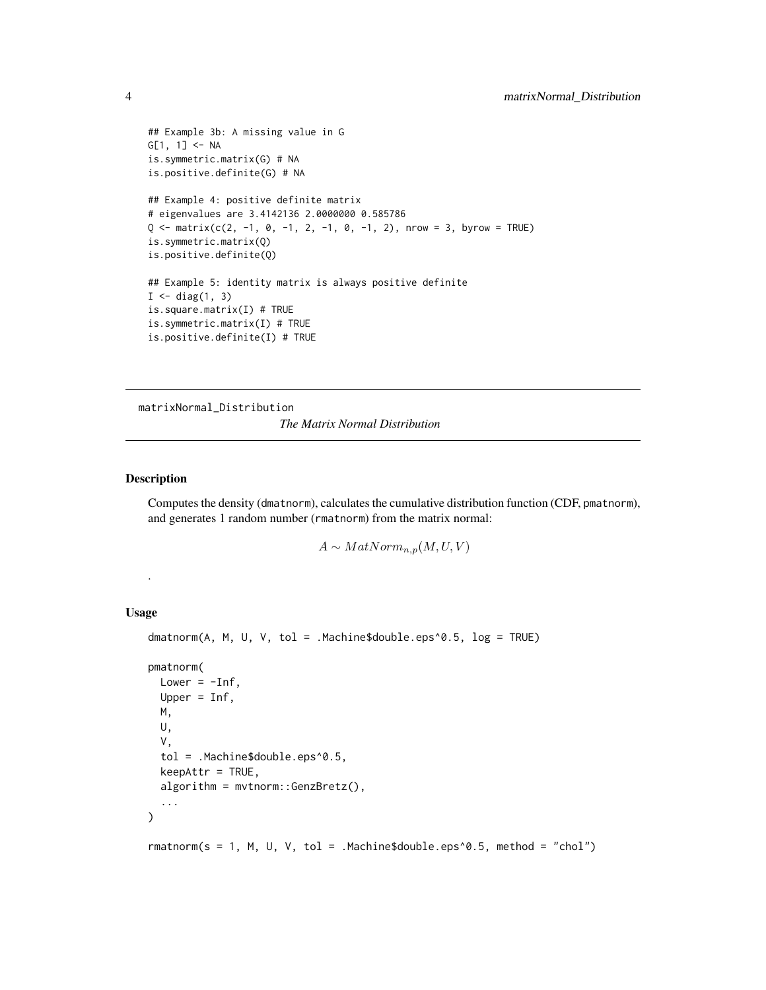```
## Example 3b: A missing value in G
G[1, 1] <- NA
is.symmetric.matrix(G) # NA
is.positive.definite(G) # NA
## Example 4: positive definite matrix
# eigenvalues are 3.4142136 2.0000000 0.585786
Q \leq - matrix(c(2, -1, 0, -1, 2, -1, 0, -1, 2), nrow = 3, byrow = TRUE)
is.symmetric.matrix(Q)
is.positive.definite(Q)
## Example 5: identity matrix is always positive definite
I \leftarrow diag(1, 3)is.square.matrix(I) # TRUE
is.symmetric.matrix(I) # TRUE
is.positive.definite(I) # TRUE
```
matrixNormal\_Distribution *The Matrix Normal Distribution*

#### Description

Computes the density (dmatnorm), calculates the cumulative distribution function (CDF, pmatnorm), and generates 1 random number (rmatnorm) from the matrix normal:

 $A \sim MatNorm_{n,p}(M, U, V)$ 

#### Usage

.

```
dmatnorm(A, M, U, V, tol = .Machine$double.eps^0.5, log = TRUE)
pmatnorm(
 Lower = -Inf,
 Upper = Inf,
 M,
 U,
  V,
  tol = .Machine$double.eps^0.5,
 keepAttr = TRUE,
 algorithm = mvtnorm::GenzBretz(),
  ...
)
```
 $rmatnorm(s = 1, M, U, V, tol = .Machine$double.eps^0.5, method = "chol")$ 

<span id="page-3-0"></span>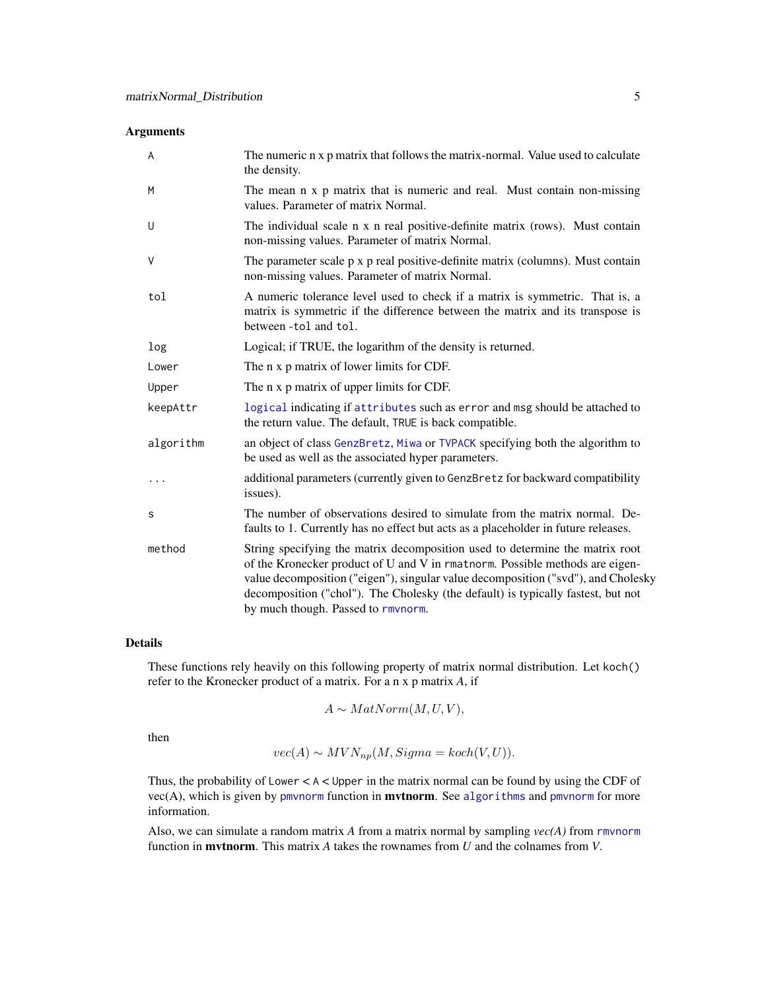#### <span id="page-4-0"></span>Arguments

| A         | The numeric n x p matrix that follows the matrix-normal. Value used to calculate<br>the density.                                                                                                                                                                                                                                                                            |
|-----------|-----------------------------------------------------------------------------------------------------------------------------------------------------------------------------------------------------------------------------------------------------------------------------------------------------------------------------------------------------------------------------|
| M         | The mean n x p matrix that is numeric and real. Must contain non-missing<br>values. Parameter of matrix Normal.                                                                                                                                                                                                                                                             |
| U         | The individual scale n x n real positive-definite matrix (rows). Must contain<br>non-missing values. Parameter of matrix Normal.                                                                                                                                                                                                                                            |
| V         | The parameter scale p x p real positive-definite matrix (columns). Must contain<br>non-missing values. Parameter of matrix Normal.                                                                                                                                                                                                                                          |
| tol       | A numeric tolerance level used to check if a matrix is symmetric. That is, a<br>matrix is symmetric if the difference between the matrix and its transpose is<br>between -tol and tol.                                                                                                                                                                                      |
| log       | Logical; if TRUE, the logarithm of the density is returned.                                                                                                                                                                                                                                                                                                                 |
| Lower     | The n x p matrix of lower limits for CDF.                                                                                                                                                                                                                                                                                                                                   |
| Upper     | The n x p matrix of upper limits for CDF.                                                                                                                                                                                                                                                                                                                                   |
| keepAttr  | logical indicating if attributes such as error and msg should be attached to<br>the return value. The default, TRUE is back compatible.                                                                                                                                                                                                                                     |
| algorithm | an object of class GenzBretz, Miwa or TVPACK specifying both the algorithm to<br>be used as well as the associated hyper parameters.                                                                                                                                                                                                                                        |
| .         | additional parameters (currently given to GenzBretz for backward compatibility<br>issues).                                                                                                                                                                                                                                                                                  |
| s         | The number of observations desired to simulate from the matrix normal. De-<br>faults to 1. Currently has no effect but acts as a placeholder in future releases.                                                                                                                                                                                                            |
| method    | String specifying the matrix decomposition used to determine the matrix root<br>of the Kronecker product of U and V in rmatnorm. Possible methods are eigen-<br>value decomposition ("eigen"), singular value decomposition ("svd"), and Cholesky<br>decomposition ("chol"). The Cholesky (the default) is typically fastest, but not<br>by much though. Passed to rmynorm. |

#### Details

These functions rely heavily on this following property of matrix normal distribution. Let koch() refer to the Kronecker product of a matrix. For a n x p matrix *A*, if

$$
A \sim MatNorm(M, U, V),
$$

then

$$
vec(A) \sim MVN_{np}(M, Sigma = koch(V, U)).
$$

Thus, the probability of Lower < A < Upper in the matrix normal can be found by using the CDF of  $vec(A)$ , which is given by [pmvnorm](#page-0-0) function in **mvtnorm**. See [algorithms](#page-0-0) and pmvnorm for more information.

Also, we can simulate a random matrix *A* from a matrix normal by sampling *vec(A)* from [rmvnorm](#page-0-0) function in mvtnorm. This matrix *A* takes the rownames from *U* and the colnames from *V*.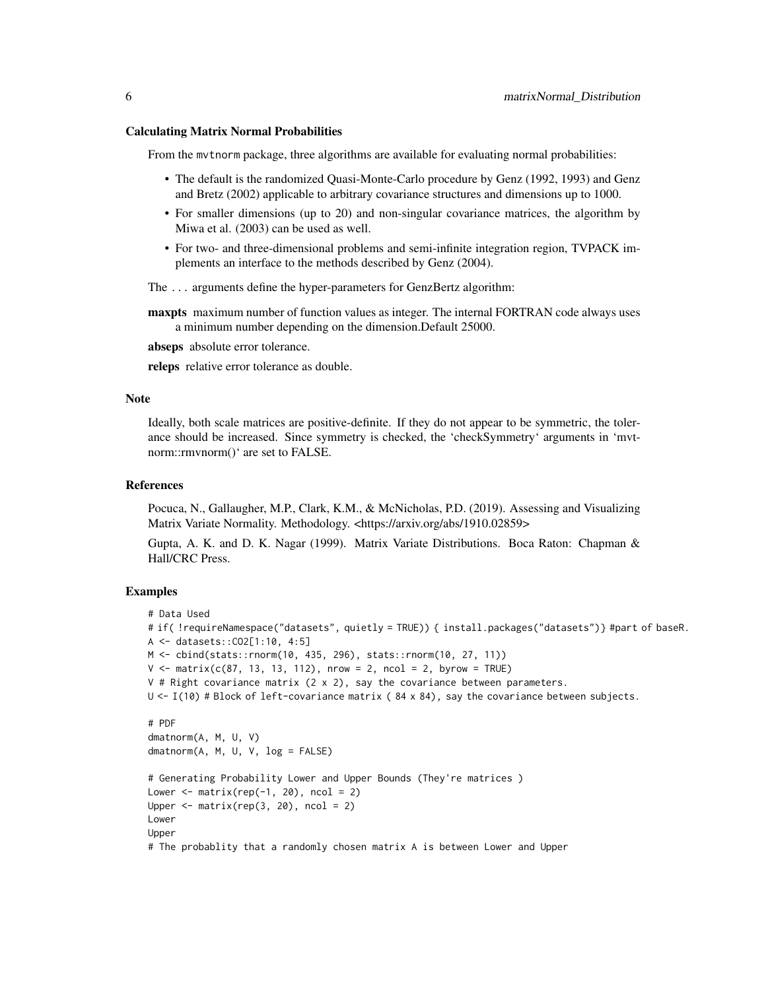#### Calculating Matrix Normal Probabilities

From the mvtnorm package, three algorithms are available for evaluating normal probabilities:

- The default is the randomized Quasi-Monte-Carlo procedure by Genz (1992, 1993) and Genz and Bretz (2002) applicable to arbitrary covariance structures and dimensions up to 1000.
- For smaller dimensions (up to 20) and non-singular covariance matrices, the algorithm by Miwa et al. (2003) can be used as well.
- For two- and three-dimensional problems and semi-infinite integration region, TVPACK implements an interface to the methods described by Genz (2004).

The ... arguments define the hyper-parameters for GenzBertz algorithm:

**maxpts** maximum number of function values as integer. The internal FORTRAN code always uses a minimum number depending on the dimension.Default 25000.

abseps absolute error tolerance.

releps relative error tolerance as double.

#### Note

Ideally, both scale matrices are positive-definite. If they do not appear to be symmetric, the tolerance should be increased. Since symmetry is checked, the 'checkSymmetry' arguments in 'mvtnorm::rmvnorm()' are set to FALSE.

#### References

Pocuca, N., Gallaugher, M.P., Clark, K.M., & McNicholas, P.D. (2019). Assessing and Visualizing Matrix Variate Normality. Methodology. <https://arxiv.org/abs/1910.02859>

Gupta, A. K. and D. K. Nagar (1999). Matrix Variate Distributions. Boca Raton: Chapman & Hall/CRC Press.

```
# Data Used
# if( !requireNamespace("datasets", quietly = TRUE)) { install.packages("datasets")} #part of baseR.
A <- datasets::CO2[1:10, 4:5]
M <- cbind(stats::rnorm(10, 435, 296), stats::rnorm(10, 27, 11))
V \le matrix(c(87, 13, 13, 112), nrow = 2, ncol = 2, byrow = TRUE)
V # Right covariance matrix (2 \times 2), say the covariance between parameters.
U \leftarrow I(10) # Block of left-covariance matrix (84 x 84), say the covariance between subjects.
# PDF
dmatnorm(A, M, U, V)
dmatnorm(A, M, U, V, log = FALSE)
# Generating Probability Lower and Upper Bounds (They're matrices )
Lower \leq matrix(rep(-1, 20), ncol = 2)
Upper \leq matrix(rep(3, 20), ncol = 2)
Lower
Upper
# The probablity that a randomly chosen matrix A is between Lower and Upper
```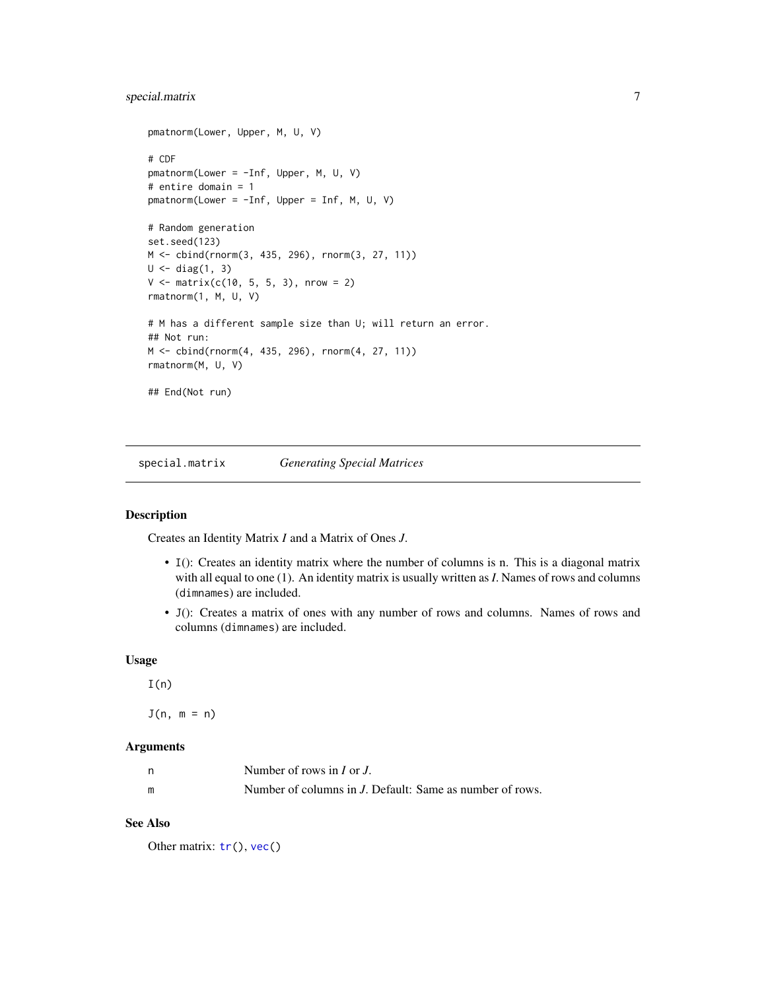#### <span id="page-6-0"></span>special.matrix 7

```
pmatnorm(Lower, Upper, M, U, V)
# CDF
pmatnorm(Lower = -Inf, Upper, M, U, V)
# entire domain = 1
pmatnorm(Lower = -Inf, Upper = Inf, M, U, V)
# Random generation
set.seed(123)
M <- cbind(rnorm(3, 435, 296), rnorm(3, 27, 11))
U \leftarrow diag(1, 3)V \le - matrix(c(10, 5, 5, 3), nrow = 2)
rmatnorm(1, M, U, V)
# M has a different sample size than U; will return an error.
## Not run:
M <- cbind(rnorm(4, 435, 296), rnorm(4, 27, 11))
rmatnorm(M, U, V)
## End(Not run)
```
<span id="page-6-1"></span>special.matrix *Generating Special Matrices*

#### Description

Creates an Identity Matrix *I* and a Matrix of Ones *J*.

- I(): Creates an identity matrix where the number of columns is n. This is a diagonal matrix with all equal to one (1). An identity matrix is usually written as *I*. Names of rows and columns (dimnames) are included.
- J(): Creates a matrix of ones with any number of rows and columns. Names of rows and columns (dimnames) are included.

#### Usage

```
I(n)
```
 $J(n, m = n)$ 

#### Arguments

| n | Number of rows in $I$ or $J$ .                           |
|---|----------------------------------------------------------|
| m | Number of columns in J. Default: Same as number of rows. |

#### See Also

Other matrix:  $tr()$  $tr()$ ,  $vec()$  $vec()$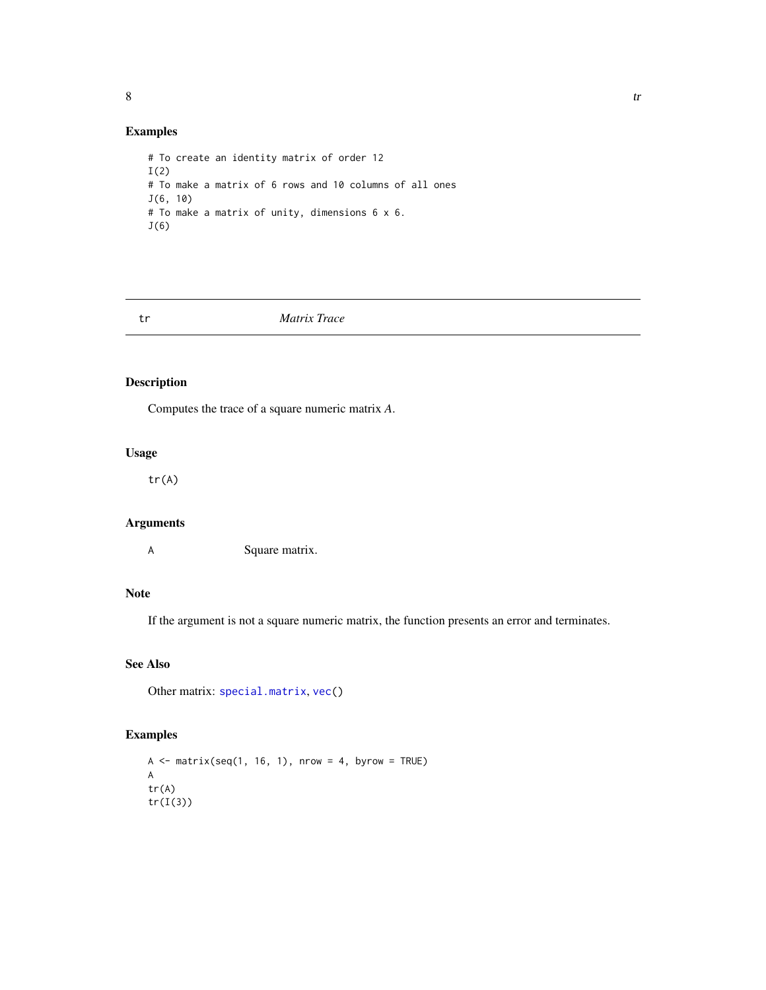#### <span id="page-7-0"></span>Examples

```
# To create an identity matrix of order 12
I(2)# To make a matrix of 6 rows and 10 columns of all ones
J(6, 10)
# To make a matrix of unity, dimensions 6 x 6.
J(6)
```
#### <span id="page-7-1"></span>tr *Matrix Trace*

#### Description

Computes the trace of a square numeric matrix *A*.

#### Usage

tr(A)

#### Arguments

A Square matrix.

#### Note

If the argument is not a square numeric matrix, the function presents an error and terminates.

#### See Also

Other matrix: [special.matrix](#page-6-1), [vec\(](#page-8-1))

```
A \leq matrix(seq(1, 16, 1), nrow = 4, byrow = TRUE)
A
tr(A)
tr(I(3))
```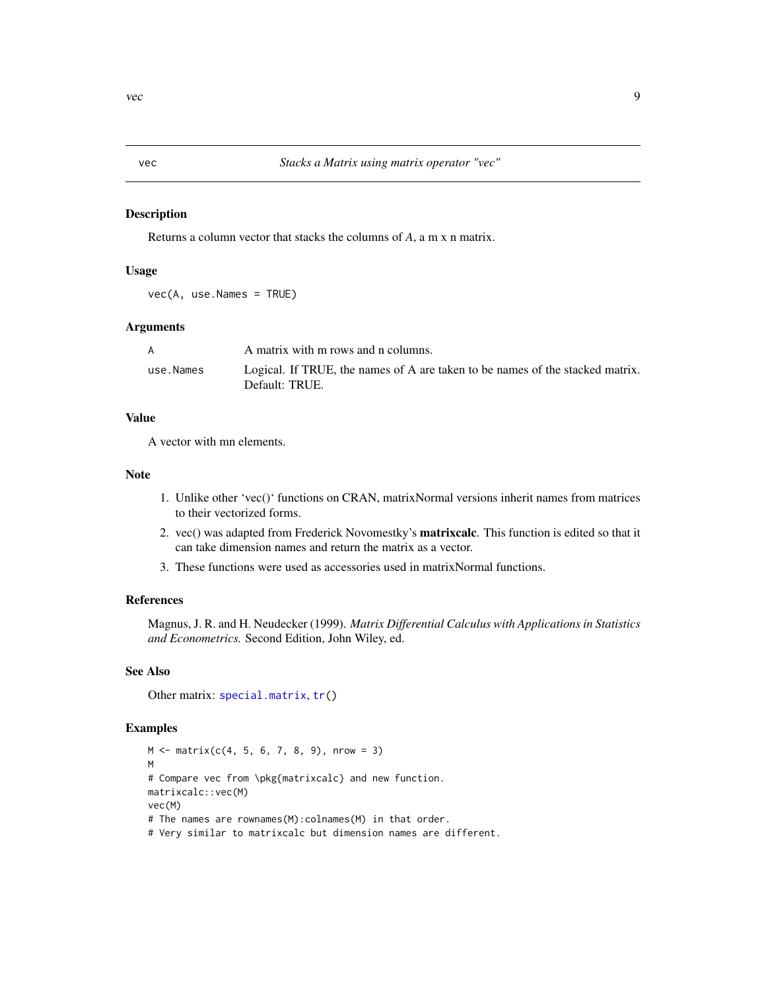<span id="page-8-1"></span><span id="page-8-0"></span>

#### Description

Returns a column vector that stacks the columns of *A*, a m x n matrix.

#### Usage

vec(A, use.Names = TRUE)

#### Arguments

| A         | A matrix with m rows and n columns.                                           |
|-----------|-------------------------------------------------------------------------------|
| use.Names | Logical. If TRUE, the names of A are taken to be names of the stacked matrix. |
|           | Default: TRUE.                                                                |

#### Value

A vector with mn elements.

#### Note

- 1. Unlike other 'vec()' functions on CRAN, matrixNormal versions inherit names from matrices to their vectorized forms.
- 2. vec() was adapted from Frederick Novomestky's matrixcalc. This function is edited so that it can take dimension names and return the matrix as a vector.
- 3. These functions were used as accessories used in matrixNormal functions.

#### References

Magnus, J. R. and H. Neudecker (1999). *Matrix Differential Calculus with Applications in Statistics and Econometrics.* Second Edition, John Wiley, ed.

#### See Also

Other matrix: [special.matrix](#page-6-1), [tr\(](#page-7-1))

```
M \le - matrix(c(4, 5, 6, 7, 8, 9), nrow = 3)
M
# Compare vec from \pkg{matrixcalc} and new function.
matrixcalc::vec(M)
vec(M)
# The names are rownames(M):colnames(M) in that order.
# Very similar to matrixcalc but dimension names are different.
```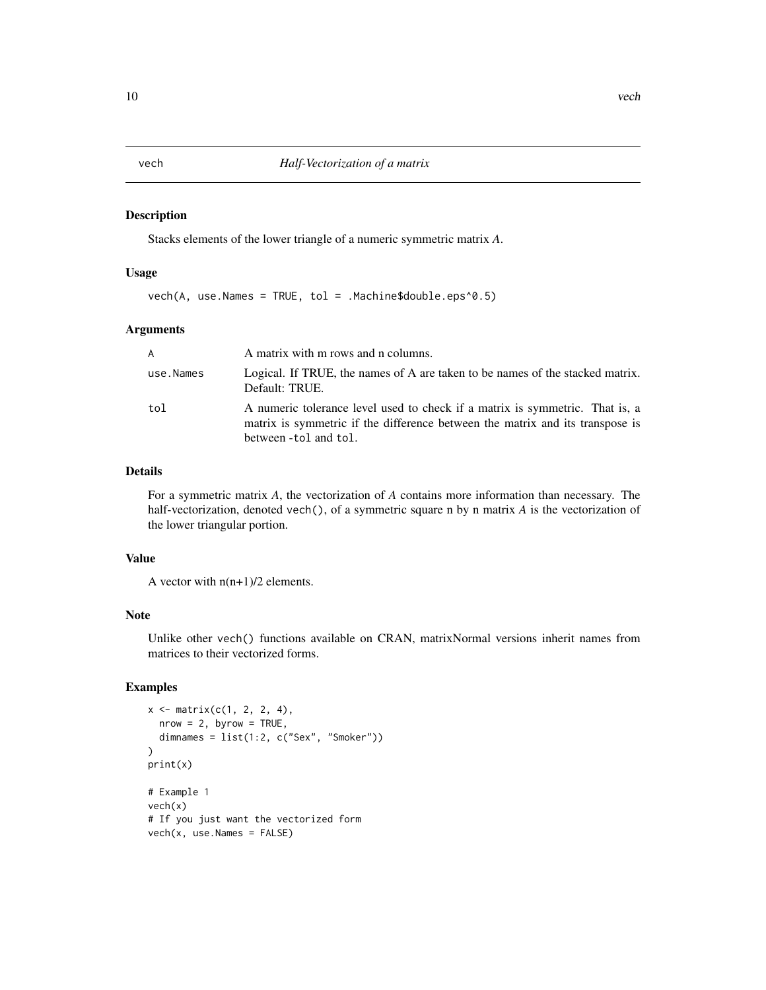#### Description

Stacks elements of the lower triangle of a numeric symmetric matrix *A*.

#### Usage

 $vech(A, use.Names = TRUE, tol = .Machine$double.eps^0.5)$ 

#### Arguments

| $\mathsf{A}$ | A matrix with m rows and n columns.                                                                                                                                                    |
|--------------|----------------------------------------------------------------------------------------------------------------------------------------------------------------------------------------|
| use.Names    | Logical. If TRUE, the names of A are taken to be names of the stacked matrix.<br>Default: TRUE.                                                                                        |
| tol          | A numeric tolerance level used to check if a matrix is symmetric. That is, a<br>matrix is symmetric if the difference between the matrix and its transpose is<br>between -tol and tol. |

#### Details

For a symmetric matrix *A*, the vectorization of *A* contains more information than necessary. The half-vectorization, denoted vech(), of a symmetric square n by n matrix *A* is the vectorization of the lower triangular portion.

#### Value

A vector with  $n(n+1)/2$  elements.

#### Note

Unlike other vech() functions available on CRAN, matrixNormal versions inherit names from matrices to their vectorized forms.

```
x \le - matrix(c(1, 2, 2, 4),
  nrow = 2, byrow = TRUE,
  dimnames = list(1:2, c("Sex", "Smoker"))
\mathcal{L}print(x)
# Example 1
vech(x)
# If you just want the vectorized form
vech(x, use.Names = FALSE)
```
<span id="page-9-0"></span>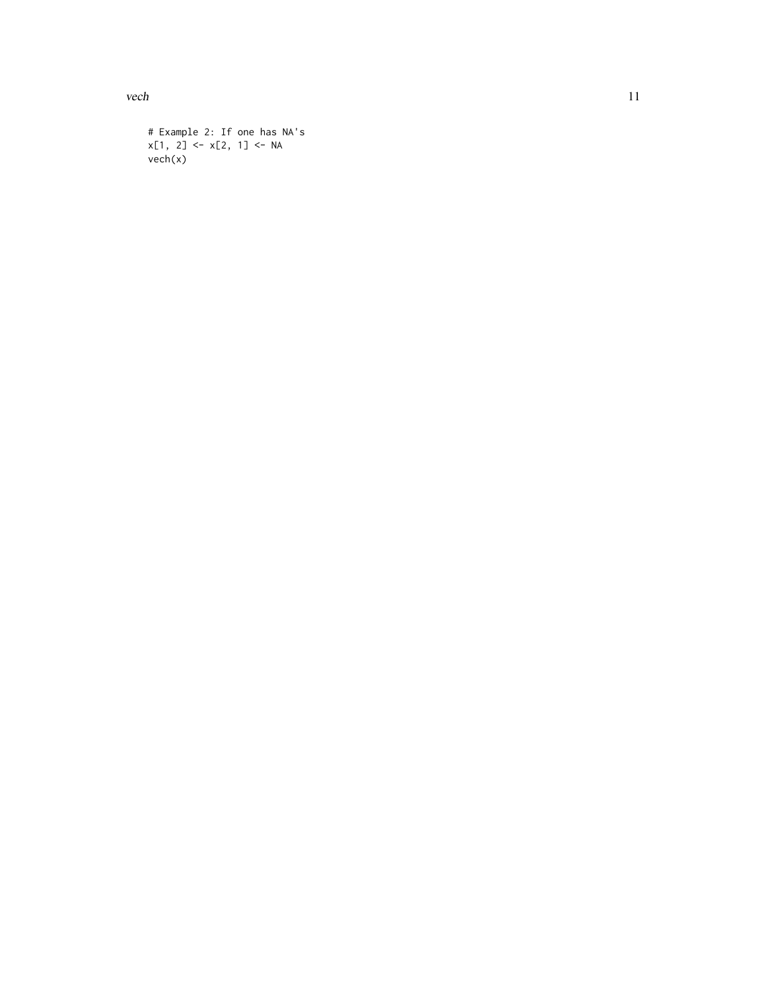vech and the set of the set of the set of the set of the set of the set of the set of the set of the set of the set of the set of the set of the set of the set of the set of the set of the set of the set of the set of the

```
# Example 2: If one has NA's
x[1, 2] <- x[2, 1] <- NA
vech(x)
```